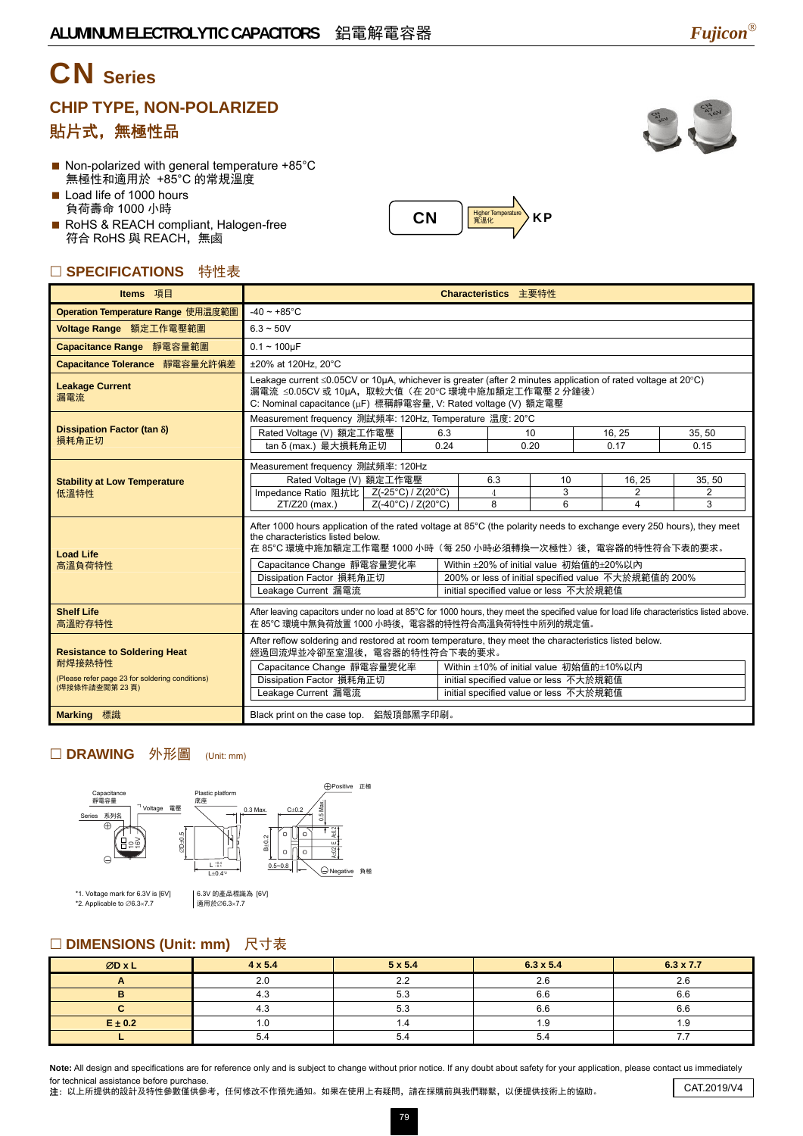# CN **Series**

### **CHIP TYPE, NON-POLARIZED**  貼片式,無極性品

- $\blacksquare$  Non-polarized with general temperature +85 $^{\circ}$ C 無極性和適用於 +85°C 的常規溫度
- Load life of 1000 hours 負荷壽命 1000 小時
- RoHS & REACH compliant, Halogen-free 符合 RoHS 與 REACH,無鹵

### □ SPECIFICATIONS 特性表

| Items 項目                                                                                                          | Characteristics 主要特性                                                                                                                                                                                                                                                                                                                                                                                                                                     |                    |      |                            |              |                               |                  |  |  |  |  |
|-------------------------------------------------------------------------------------------------------------------|----------------------------------------------------------------------------------------------------------------------------------------------------------------------------------------------------------------------------------------------------------------------------------------------------------------------------------------------------------------------------------------------------------------------------------------------------------|--------------------|------|----------------------------|--------------|-------------------------------|------------------|--|--|--|--|
| Operation Temperature Range 使用温度範圍                                                                                | $-40 \sim +85^{\circ}$ C                                                                                                                                                                                                                                                                                                                                                                                                                                 |                    |      |                            |              |                               |                  |  |  |  |  |
| Voltage Range 額定工作電壓範圍                                                                                            | $6.3 - 50V$                                                                                                                                                                                                                                                                                                                                                                                                                                              |                    |      |                            |              |                               |                  |  |  |  |  |
| Capacitance Range 靜電容量範圍                                                                                          | $0.1 - 100 \mu F$                                                                                                                                                                                                                                                                                                                                                                                                                                        |                    |      |                            |              |                               |                  |  |  |  |  |
| Capacitance Tolerance 靜電容量允許偏差                                                                                    | ±20% at 120Hz, 20°C                                                                                                                                                                                                                                                                                                                                                                                                                                      |                    |      |                            |              |                               |                  |  |  |  |  |
| <b>Leakage Current</b><br>漏電流                                                                                     | Leakage current ≤0.05CV or 10µA, whichever is greater (after 2 minutes application of rated voltage at 20°C)<br>漏電流 ≤0.05CV 或 10µA,取較大值 (在 20°C 環境中施加額定工作電壓 2 分鐘後)<br>C: Nominal capacitance (µF) 標稱靜電容量, V: Rated voltage (V) 額定電壓                                                                                                                                                                                                                      |                    |      |                            |              |                               |                  |  |  |  |  |
|                                                                                                                   | Measurement frequency 測試頻率: 120Hz, Temperature 温度: 20°C                                                                                                                                                                                                                                                                                                                                                                                                  |                    |      |                            |              |                               |                  |  |  |  |  |
| Dissipation Factor (tan $\delta$ )<br>損耗角正切                                                                       | Rated Voltage (V) 額定工作電壓                                                                                                                                                                                                                                                                                                                                                                                                                                 |                    | 6.3  | 10                         |              | 16, 25<br>0.17                | 35, 50           |  |  |  |  |
|                                                                                                                   | tan δ (max.) 最大損耗角正切                                                                                                                                                                                                                                                                                                                                                                                                                                     |                    | 0.24 | 0.20                       |              |                               | 0.15             |  |  |  |  |
| <b>Stability at Low Temperature</b><br>低溫特性                                                                       | Measurement frequency 測試頻率: 120Hz<br>Rated Voltage (V) 額定工作電壓<br>Impedance Ratio 阻抗比 Z(-25°C) / Z(20°C)<br>ZT/Z20 (max.)                                                                                                                                                                                                                                                                                                                                 | Z(-40°C) / Z(20°C) |      | 6.3<br>$\overline{4}$<br>8 | 10<br>3<br>6 | 16, 25<br>$\overline{2}$<br>4 | 35, 50<br>2<br>3 |  |  |  |  |
| <b>Load Life</b><br>高溫負荷特性                                                                                        | After 1000 hours application of the rated voltage at 85°C (the polarity needs to exchange every 250 hours), they meet<br>the characteristics listed below.<br>在 85°C 環境中施加額定工作電壓 1000 小時(每 250 小時必須轉換一次極性)後,電容器的特性符合下表的要求。<br>Capacitance Change 靜電容量變化率<br>Within ±20% of initial value 初始值的±20%以内<br>Dissipation Factor 損耗角正切<br>200% or less of initial specified value 不大於規範值的 200%<br>Leakage Current 漏電流<br>initial specified value or less 不大於規範值 |                    |      |                            |              |                               |                  |  |  |  |  |
| <b>Shelf Life</b><br>高溫貯存特性                                                                                       | After leaving capacitors under no load at 85°C for 1000 hours, they meet the specified value for load life characteristics listed above.<br>在 85°C 環境中無負荷放置 1000 小時後,電容器的特性符合高溫負荷特性中所列的規定值。                                                                                                                                                                                                                                                              |                    |      |                            |              |                               |                  |  |  |  |  |
| <b>Resistance to Soldering Heat</b><br>耐焊接熱特性<br>(Please refer page 23 for soldering conditions)<br>(焊接條件請查閱第23頁) | After reflow soldering and restored at room temperature, they meet the characteristics listed below.<br>經過回流焊並冷卻至室溫後,電容器的特性符合下表的要求。<br>Capacitance Change 靜電容量變化率<br>Within ±10% of initial value 初始值的±10%以内<br>Dissipation Factor 損耗角正切<br>initial specified value or less 不大於規範值<br>Leakage Current 漏電流<br>initial specified value or less 不大於規範值                                                                                                      |                    |      |                            |              |                               |                  |  |  |  |  |
| <b>Marking 標識</b>                                                                                                 | Black print on the case top. 鋁殼頂部黑字印刷。                                                                                                                                                                                                                                                                                                                                                                                                                   |                    |      |                            |              |                               |                  |  |  |  |  |

CN

Higher Temperature **KP** 

#### □ DRAWING 外形圖 (Unit: mm)



\*1. Voltage mark for 6.3V is [6V] \*2. Applicable to ∅6.3×7.7

6.3V 的產品標識為 [6V] 调用於∅6.3×7.7

#### □ DIMENSIONS (Unit: mm) 尺寸表

| ØDxL        | $4 \times 5.4$       | $5 \times 5.4$ | $6.3 \times 5.4$ | $6.3 \times 7.7$ |
|-------------|----------------------|----------------|------------------|------------------|
|             | $\sim$ $\sim$<br>2.U | っっ             | 2.6              | 2.6              |
|             | 4.3                  | 5.3            | o.c              | 6.6              |
|             | 4.3                  | 5.3            | o.c              | 6.6              |
| $E \pm 0.2$ |                      |                | د. ا             |                  |
|             | 5.4                  | 51<br>∙.∼      | 5.4              |                  |

Note: All design and specifications are for reference only and is subject to change without prior notice. If any doubt about safety for your application, please contact us immediately for technical assistance before purchase.

注: 以上所提供的設計及特性參數僅供參考,任何修改不作預先通知。如果在使用上有疑問,請在採購前與我們聯繫,以便提供技術上的協助。 CAT.2019/V4